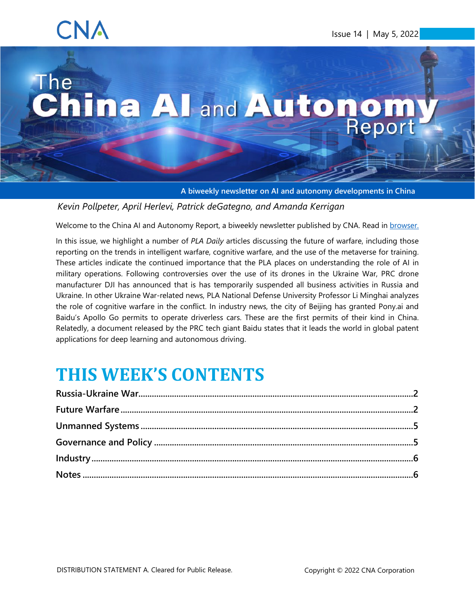## CNA

# The The China All and Autonom.

<span id="page-0-0"></span>**A biweekly newsletter on AI and autonomy developments in China**

*Kevin Pollpeter, April Herlevi, Patrick deGategno, and Amanda Kerrigan*

Welcome to the China AI and Autonomy Report, a biweekly newsletter published by CNA. Read in [browser.](https://www.cna.org/centers/cna/cip/china/china-ai-newsletter)

In this issue, we highlight a number of *PLA Daily* articles discussing the future of warfare, including those reporting on the trends in intelligent warfare, cognitive warfare, and the use of the metaverse for training. These articles indicate the continued importance that the PLA places on understanding the role of AI in military operations. Following controversies over the use of its drones in the Ukraine War, PRC drone manufacturer DJI has announced that is has temporarily suspended all business activities in Russia and Ukraine. In other Ukraine War-related news, PLA National Defense University Professor Li Minghai analyzes the role of cognitive warfare in the conflict. In industry news, the city of Beijing has granted Pony.ai and Baidu's Apollo Go permits to operate driverless cars. These are the first permits of their kind in China. Relatedly, a document released by the PRC tech giant Baidu states that it leads the world in global patent applications for deep learning and autonomous driving.

### **THIS WEEK'S CONTENTS**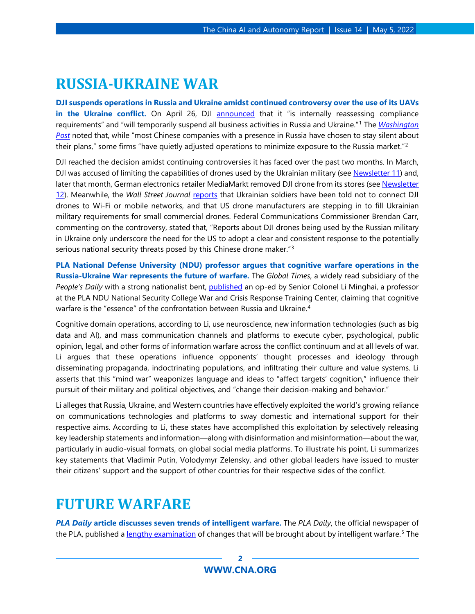#### <span id="page-1-0"></span>**RUSSIA-UKRAINE WAR**

**DJI suspends operations in Russia and Ukraine amidst continued controversy over the use of its UAVs**  in the Ukraine conflict. On April 26, DJI [announced](https://www.dji.com/newsroom/news/dji-statement-on-sales-compliance-efforts) that it "is internally reassessing compliance requirements" and "will temporarily suspend all business activities in Russia and Ukraine."[1](#page-6-0) The *[Washington](https://www.washingtonpost.com/world/2022/04/27/china-drones-dji-russia-suspension-war/)  [Post](https://www.washingtonpost.com/world/2022/04/27/china-drones-dji-russia-suspension-war/)* noted that, while "most Chinese companies with a presence in Russia have chosen to stay silent about their plans," some firms "have quietly adjusted operations to minimize exposure to the Russia market."<sup>[2](#page-6-1)</sup>

DJI reached the decision amidst continuing controversies it has faced over the past two months. In March, DJI was accused of limiting the capabilities of drones used by the Ukrainian military (see [Newsletter 11\)](https://www.cna.org/centers/cna/cip/china/china-ai-newsletters/issue-11) and, later that month, German electronics retailer MediaMarkt removed DJI drone from its stores (se[e Newsletter](https://www.cna.org/centers/cna/cip/china/china-ai-newsletters/issue-12)  [12\)](https://www.cna.org/centers/cna/cip/china/china-ai-newsletters/issue-12). Meanwhile, the *Wall Street Journal [reports](https://www.wsj.com/articles/ukraine-sounds-alarm-on-chinese-drones-opening-skies-to-u-s-startups-11650619800)* that Ukrainian soldiers have been told not to connect DJI drones to Wi-Fi or mobile networks, and that US drone manufacturers are stepping in to fill Ukrainian military requirements for small commercial drones. Federal Communications Commissioner Brendan Carr, commenting on the controversy, stated that, "Reports about DJI drones being used by the Russian military in Ukraine only underscore the need for the US to adopt a clear and consistent response to the potentially serious national security threats posed by this Chinese drone maker."[3](#page-6-2)

**PLA National Defense University (NDU) professor argues that cognitive warfare operations in the Russia-Ukraine War represents the future of warfare.** The *Global Times*, a widely read subsidiary of the *People's Daily* with a strong nationalist bent, [published](https://yrd.huanqiu.com/article/47DoZ45dMzV) an op-ed by Senior Colonel Li Minghai, a professor at the PLA NDU National Security College War and Crisis Response Training Center, claiming that cognitive warfare is the "essence" of the confrontation between Russia and Ukraine.<sup>[4](#page-6-3)</sup>

Cognitive domain operations, according to Li, use neuroscience, new information technologies (such as big data and AI), and mass communication channels and platforms to execute cyber, psychological, public opinion, legal, and other forms of information warfare across the conflict continuum and at all levels of war. Li argues that these operations influence opponents' thought processes and ideology through disseminating propaganda, indoctrinating populations, and infiltrating their culture and value systems. Li asserts that this "mind war" weaponizes language and ideas to "affect targets' cognition," influence their pursuit of their military and political objectives, and "change their decision-making and behavior."

Li alleges that Russia, Ukraine, and Western countries have effectively exploited the world's growing reliance on communications technologies and platforms to sway domestic and international support for their respective aims. According to Li, these states have accomplished this exploitation by selectively releasing key leadership statements and information—along with disinformation and misinformation—about the war, particularly in audio-visual formats, on global social media platforms. To illustrate his point, Li summarizes key statements that Vladimir Putin, Volodymyr Zelensky, and other global leaders have issued to muster their citizens' support and the support of other countries for their respective sides of the conflict.

#### <span id="page-1-1"></span>**FUTURE WARFARE**

*PLA Daily* **article discusses seven trends of intelligent warfare.** The *PLA Daily*, the official newspaper of the PLA, published a [lengthy examination](https://www.81.cn/bz/2022-04/26/content_10150428.htm) of changes that will be brought about by intelligent warfare.[5](#page-6-4) The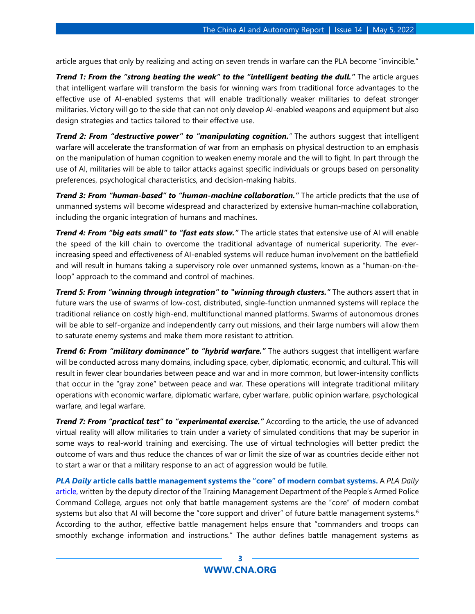article argues that only by realizing and acting on seven trends in warfare can the PLA become "invincible."

*Trend 1: From the "strong beating the weak" to the "intelligent beating the dull."* The article argues that intelligent warfare will transform the basis for winning wars from traditional force advantages to the effective use of AI-enabled systems that will enable traditionally weaker militaries to defeat stronger militaries. Victory will go to the side that can not only develop AI-enabled weapons and equipment but also design strategies and tactics tailored to their effective use.

*Trend 2: From "destructive power" to "manipulating cognition."* The authors suggest that intelligent warfare will accelerate the transformation of war from an emphasis on physical destruction to an emphasis on the manipulation of human cognition to weaken enemy morale and the will to fight. In part through the use of AI, militaries will be able to tailor attacks against specific individuals or groups based on personality preferences, psychological characteristics, and decision-making habits.

*Trend 3: From "human-based" to "human-machine collaboration."* The article predicts that the use of unmanned systems will become widespread and characterized by extensive human-machine collaboration, including the organic integration of humans and machines.

*Trend 4: From "big eats small" to "fast eats slow."* The article states that extensive use of AI will enable the speed of the kill chain to overcome the traditional advantage of numerical superiority. The everincreasing speed and effectiveness of AI-enabled systems will reduce human involvement on the battlefield and will result in humans taking a supervisory role over unmanned systems, known as a "human-on-theloop" approach to the command and control of machines.

*Trend 5: From "winning through integration" to "winning through clusters."* The authors assert that in future wars the use of swarms of low-cost, distributed, single-function unmanned systems will replace the traditional reliance on costly high-end, multifunctional manned platforms. Swarms of autonomous drones will be able to self-organize and independently carry out missions, and their large numbers will allow them to saturate enemy systems and make them more resistant to attrition.

*Trend 6: From "military dominance" to "hybrid warfare."* The authors suggest that intelligent warfare will be conducted across many domains, including space, cyber, diplomatic, economic, and cultural. This will result in fewer clear boundaries between peace and war and in more common, but lower-intensity conflicts that occur in the "gray zone" between peace and war. These operations will integrate traditional military operations with economic warfare, diplomatic warfare, cyber warfare, public opinion warfare, psychological warfare, and legal warfare.

*Trend 7: From "practical test" to "experimental exercise."* According to the article, the use of advanced virtual reality will allow militaries to train under a variety of simulated conditions that may be superior in some ways to real-world training and exercising. The use of virtual technologies will better predict the outcome of wars and thus reduce the chances of war or limit the size of war as countries decide either not to start a war or that a military response to an act of aggression would be futile.

*PLA Daily* **article calls battle management systems the "core" of modern combat systems.** A *PLA Daily* [article,](http://www.81.cn/yw/2022-04/22/content_10149663.htm) written by the deputy director of the Training Management Department of the People's Armed Police Command College, argues not only that battle management systems are the "core" of modern combat systems but also that AI will become the "core support and driver" of future battle management systems.<sup>[6](#page-7-0)</sup> According to the author, effective battle management helps ensure that "commanders and troops can smoothly exchange information and instructions." The author defines battle management systems as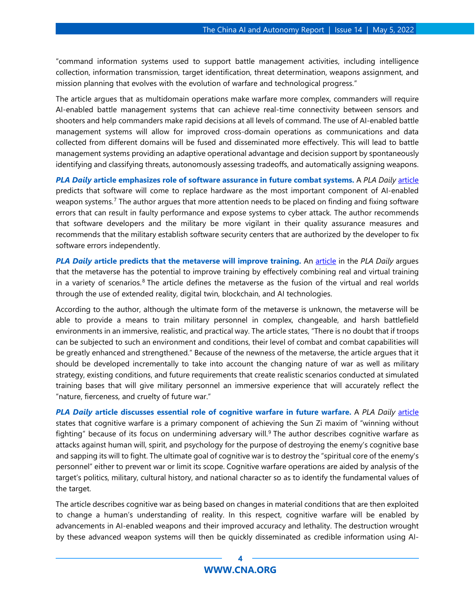"command information systems used to support battle management activities, including intelligence collection, information transmission, target identification, threat determination, weapons assignment, and mission planning that evolves with the evolution of warfare and technological progress."

The article argues that as multidomain operations make warfare more complex, commanders will require AI-enabled battle management systems that can achieve real-time connectivity between sensors and shooters and help commanders make rapid decisions at all levels of command. The use of AI-enabled battle management systems will allow for improved cross-domain operations as communications and data collected from different domains will be fused and disseminated more effectively. This will lead to battle management systems providing an adaptive operational advantage and decision support by spontaneously identifying and classifying threats, autonomously assessing tradeoffs, and automatically assigning weapons.

*PLA Daily* **article emphasizes role of software assurance in future combat systems.** A *PLA Daily* [article](http://www.81.cn/jfjbmap/content/2022-04/07/content_313120.htm) predicts that software will come to replace hardware as the most important component of AI-enabled weapon systems.<sup>[7](#page-7-1)</sup> The author argues that more attention needs to be placed on finding and fixing software errors that can result in faulty performance and expose systems to cyber attack. The author recommends that software developers and the military be more vigilant in their quality assurance measures and recommends that the military establish software security centers that are authorized by the developer to fix software errors independently.

*PLA Daily* **article predicts that the metaverse will improve training.** An [article](http://www.81.cn/jfjbmap/content/2022-04/14/content_313630.htm) in the *PLA Daily* argues that the metaverse has the potential to improve training by effectively combining real and virtual training in a variety of scenarios.<sup>[8](#page-7-2)</sup> The article defines the metaverse as the fusion of the virtual and real worlds through the use of extended reality, digital twin, blockchain, and AI technologies.

According to the author, although the ultimate form of the metaverse is unknown, the metaverse will be able to provide a means to train military personnel in complex, changeable, and harsh battlefield environments in an immersive, realistic, and practical way. The article states, "There is no doubt that if troops can be subjected to such an environment and conditions, their level of combat and combat capabilities will be greatly enhanced and strengthened." Because of the newness of the metaverse, the article argues that it should be developed incrementally to take into account the changing nature of war as well as military strategy, existing conditions, and future requirements that create realistic scenarios conducted at simulated training bases that will give military personnel an immersive experience that will accurately reflect the "nature, fierceness, and cruelty of future war."

*PLA Daily* **article discusses essential role of cognitive warfare in future warfare.** A *PLA Daily* [article](http://www.81.cn/jfjbmap/content/2022-04/12/content_313458.htm) states that cognitive warfare is a primary component of achieving the Sun Zi maxim of "winning without fighting" because of its focus on undermining adversary will.<sup>[9](#page-7-3)</sup> The author describes cognitive warfare as attacks against human will, spirit, and psychology for the purpose of destroying the enemy's cognitive base and sapping its will to fight. The ultimate goal of cognitive war is to destroy the "spiritual core of the enemy's personnel" either to prevent war or limit its scope. Cognitive warfare operations are aided by analysis of the target's politics, military, cultural history, and national character so as to identify the fundamental values of the target.

The article describes cognitive war as being based on changes in material conditions that are then exploited to change a human's understanding of reality. In this respect, cognitive warfare will be enabled by advancements in AI-enabled weapons and their improved accuracy and lethality. The destruction wrought by these advanced weapon systems will then be quickly disseminated as credible information using AI-

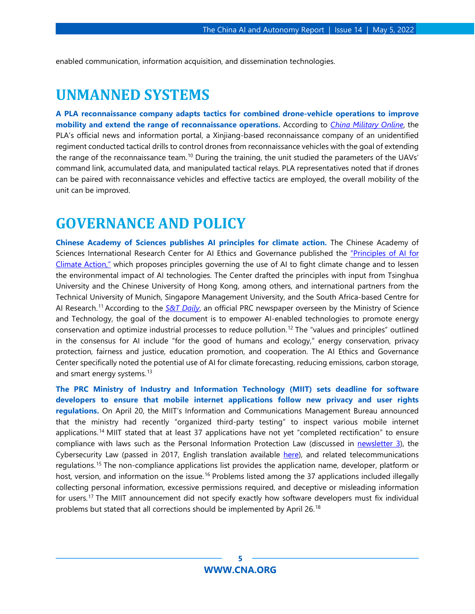<span id="page-4-0"></span>enabled communication, information acquisition, and dissemination technologies.

#### **UNMANNED SYSTEMS**

**A PLA reconnaissance company adapts tactics for combined drone-vehicle operations to improve mobility and extend the range of reconnaissance operations.** According to *[China Military Online](http://www.81.cn/bz/2022-04/22/content_10149733.htm)*, the PLA's official news and information portal, a Xinjiang-based reconnaissance company of an unidentified regiment conducted tactical drills to control drones from reconnaissance vehicles with the goal of extending the range of the reconnaissance team.<sup>[10](#page-7-4)</sup> During the training, the unit studied the parameters of the UAVs' command link, accumulated data, and manipulated tactical relays. PLA representatives noted that if drones can be paired with reconnaissance vehicles and effective tactics are employed, the overall mobility of the unit can be improved.

#### <span id="page-4-1"></span>**GOVERNANCE AND POLICY**

**Chinese Academy of Sciences publishes AI principles for climate action.** The Chinese Academy of Sciences International Research Center for AI Ethics and Governance published the ["Principles of AI for](https://ai-ethics-and-governance.institute/2022/04/26/principles-on-ai-for-climate-action/)  [Climate Action,"](https://ai-ethics-and-governance.institute/2022/04/26/principles-on-ai-for-climate-action/) which proposes principles governing the use of AI to fight climate change and to lessen the environmental impact of AI technologies. The Center drafted the principles with input from Tsinghua University and the Chinese University of Hong Kong, among others, and international partners from the Technical University of Munich, Singapore Management University, and the South Africa-based Centre for AI Research. [11](#page-7-5) According to the *[S&T Daily](http://www.stdaily.com/index/kejixinwen/202204/b305308031f24ad99ebb1122a6d79f8b.shtml)*, an official PRC newspaper overseen by the Ministry of Science and Technology, the goal of the document is to empower AI-enabled technologies to promote energy conservation and optimize industrial processes to reduce pollution. [12](#page-7-6) The "values and principles" outlined in the consensus for AI include "for the good of humans and ecology," energy conservation, privacy protection, fairness and justice, education promotion, and cooperation. The AI Ethics and Governance Center specifically noted the potential use of AI for climate forecasting, reducing emissions, carbon storage, and smart energy systems.<sup>[13](#page-7-7)</sup>

**The PRC Ministry of Industry and Information Technology (MIIT) sets deadline for software developers to ensure that mobile internet applications follow new privacy and user rights regulations.** On April 20, the MIIT's Information and Communications Management Bureau announced that the ministry had recently "organized third-party testing" to inspect various mobile internet applications.[14](#page-7-8) MIIT stated that at least 37 applications have not yet "completed rectification" to ensure compliance with laws such as the Personal Information Protection Law (discussed in [newsletter 3\)](https://www.cna.org/centers/cna/cip/china/china-ai-newsletters/issue-3), the Cybersecurity Law (passed in 2017, English translation available [here\)](https://www.newamerica.org/cybersecurity-initiative/digichina/blog/translation-cybersecurity-law-peoples-republic-china/), and related telecommunications regulations.[15](#page-7-9) The non-compliance applications list provides the application name, developer, platform or host, version, and information on the issue.<sup>[16](#page-7-10)</sup> Problems listed among the 37 applications included illegally collecting personal information, excessive permissions required, and deceptive or misleading information for users.[17](#page-7-11) The MIIT announcement did not specify exactly how software developers must fix individual problems but stated that all corrections should be implemented by April 26.<sup>[18](#page-7-12)</sup>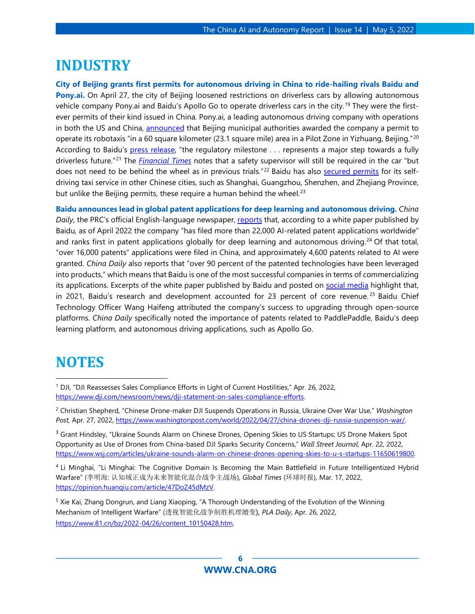#### <span id="page-5-0"></span>**INDUSTRY**

**City of Beijing grants first permits for autonomous driving in China to ride-hailing rivals Baidu and Pony.ai.** On April 27, the city of Beijing loosened restrictions on driverless cars by allowing autonomous vehicle company Pony.ai and Baidu's Apollo Go to operate driverless cars in the city.<sup>[19](#page-7-13)</sup> They were the firstever permits of their kind issued in China. Pony.ai, a leading autonomous driving company with operations in both the US and China, [announced](https://www.businesswire.com/news/home/20220427006212/en/Pony.ai-Approved-for-Public-Driverless-Robotaxi-Service-in-Beijing) that Beijing municipal authorities awarded the company a permit to operate its robotaxis "in a 60 square kilometer (23.1 square mile) area in a Pilot Zone in Yizhuang, Beijing."[20](#page-7-14) According to Baidu's [press release,](https://www.prnewswire.com/news-releases/baidu-wins-first-driverless-permits-in-china-for-autonomous-ride-hailing-services-on-public-roads-301534956.html?tc=eml_cleartime) "the regulatory milestone . . . represents a major step towards a fully driverless future."[21](#page-7-15) The *[Financial Times](https://www.ft.com/content/de57cadc-3622-4ae0-8b7d-ef0bf31395ef)* notes that a safety supervisor will still be required in the car "but does not need to be behind the wheel as in previous trials."<sup>[22](#page-7-16)</sup> Baidu has also [secured permits](https://global.chinadaily.com.cn/a/202203/25/WS623d6a6ca310fd2b29e53570.html) for its selfdriving taxi service in other Chinese cities, such as Shanghai, Guangzhou, Shenzhen, and Zhejiang Province, but unlike the Beijing permits, these require a human behind the wheel.<sup>[23](#page-7-0)</sup>

**Baidu announces lead in global patent applications for deep learning and autonomous driving.** *China Daily,* the PRC's official English-language newspaper, [reports](http://global.chinadaily.com.cn/a/202204/26/WS62678b36a310fd2b29e5966e.html) that, according to a white paper published by Baidu, as of April 2022 the company "has filed more than 22,000 AI-related patent applications worldwide" and ranks first in patent applications globally for deep learning and autonomous driving.<sup>[24](#page-7-17)</sup> Of that total, "over 16,000 patents" applications were filed in China, and approximately 4,600 patents related to AI were granted. *China Daily* also reports that "over 90 percent of the patented technologies have been leveraged into products," which means that Baidu is one of the most successful companies in terms of commercializing its applications. Excerpts of the white paper published by Baidu and posted on [social media](https://3g.163.com/dy/article/H5VRAS3E05388UDU.html) highlight that, in 2021, Baidu's research and development accounted for 23 percent of core revenue.<sup>[25](#page-7-18)</sup> Baidu Chief Technology Officer Wang Haifeng attributed the company's success to upgrading through open-source platforms. *China Daily* specifically noted the importance of patents related to PaddlePaddle, Baidu's deep learning platform, and autonomous driving applications, such as Apollo Go.

#### <span id="page-5-1"></span>**NOTES**

<sup>3</sup> Grant Hindsley, "Ukraine Sounds Alarm on Chinese Drones, Opening Skies to US Startups; US Drone Makers Spot Opportunity as Use of Drones from China-based DJI Sparks Security Concerns," *Wall Street Journal*, Apr. 22, 2022, [https://www.wsj.com/articles/ukraine-sounds-alarm-on-chinese-drones-opening-skies-to-u-s-startups-11650619800.](https://www.wsj.com/articles/ukraine-sounds-alarm-on-chinese-drones-opening-skies-to-u-s-startups-11650619800)

<sup>4</sup> Li Minghai, "Li Minghai: The Cognitive Domain Is Becoming the Main Battlefield in Future Intelligentized Hybrid Warfare" (李明海: 认知域正成为未来智能化混合战争主战场), *Global Times* (环球时报), Mar. 17, 2022, [https://opinion.huanqiu.com/article/47DoZ45dMzV.](https://opinion.huanqiu.com/article/47DoZ45dMzV)

<sup>5</sup> Xie Kai, Zhang Dongrun, and Liang Xiaoping, "A Thorough Understanding of the Evolution of the Winning Mechanism of Intelligent Warfare" (透视智能化战争制胜机理嬗变), *PLA Daily*, Apr. 26, 2022, [https://www.81.cn/bz/2022-04/26/content\\_10150428.htm.](https://www.81.cn/bz/2022-04/26/content_10150428.htm)

<sup>&</sup>lt;sup>1</sup> DJI, "DJI Reassesses Sales Compliance Efforts in Light of Current Hostilities," Apr. 26, 2022, [https://www.dji.com/newsroom/news/dji-statement-on-sales-compliance-efforts.](https://www.dji.com/newsroom/news/dji-statement-on-sales-compliance-efforts)

<sup>2</sup> Christian Shepherd, "Chinese Drone-maker DJI Suspends Operations in Russia, Ukraine Over War Use," *Washington Post,* Apr. 27, 2022, [https://www.washingtonpost.com/world/2022/04/27/china-drones-dji-russia-suspension-war/.](https://www.washingtonpost.com/world/2022/04/27/china-drones-dji-russia-suspension-war/)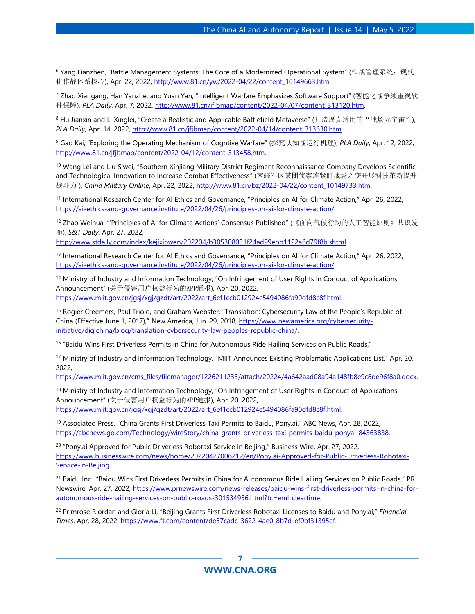<sup>6</sup> Yang Lianzhen, "Battle Management Systems: The Core of a Modernized Operational System" (作战管理系统: 现代 化作战体系核心), Apr. 22, 2022[, http://www.81.cn/yw/2022-04/22/content\\_10149663.htm.](http://www.81.cn/yw/2022-04/22/content_10149663.htm)

<sup>7</sup> Zhao Xiangang, Han Yanzhe, and Yuan Yan, "Intelligent Warfare Emphasizes Software Support" (智能化战争须重视软 件保障), *PLA Daily*, Apr. 7, 2022, [http://www.81.cn/jfjbmap/content/2022-04/07/content\\_313120.htm.](http://www.81.cn/jfjbmap/content/2022-04/07/content_313120.htm)

<sup>8</sup> Hu Jianxin and Li Xinglei, "Create a Realistic and Applicable Battlefield Metaverse" (打造逼真适用的"战场元宇宙"), *PLA Daily*, Apr. 14, 2022, [http://www.81.cn/jfjbmap/content/2022-04/14/content\\_313630.htm.](http://www.81.cn/jfjbmap/content/2022-04/14/content_313630.htm)

<sup>9</sup> Gao Kai, "Exploring the Operating Mechanism of Cogntive Warfare" (探究认知战运行机理), *PLA Daily*, Apr. 12, 2022, [http://www.81.cn/jfjbmap/content/2022-04/12/content\\_313458.htm.](http://www.81.cn/jfjbmap/content/2022-04/12/content_313458.htm)

<sup>10</sup> Wang Lei and Liu Siwei, "Southern Xinjiang Military District Regiment Reconnaissance Company Develops Scientific and Technological Innovation to Increase Combat Effectiveness" (南疆军区某团侦察连紧盯战场之变开展科技革新提升 战斗力 ), *China Military Online*, Apr. 22, 2022, [http://www.81.cn/bz/2022-04/22/content\\_10149733.htm.](http://www.81.cn/bz/2022-04/22/content_10149733.htm) 

<sup>11</sup> International Research Center for AI Ethics and Governance, "Principles on AI for Climate Action," Apr. 26, 2022, [https://ai-ethics-and-governance.institute/2022/04/26/principles-on-ai-for-climate-action/.](https://ai-ethics-and-governance.institute/2022/04/26/principles-on-ai-for-climate-action/) 

<sup>12</sup> Zhao Weihua, "'Principles of AI for Climate Actions' Consensus Published" (《面向气候行动的人工智能原则》共识发 布), *S&T Daily*, Apr. 27, 2022,

[http://www.stdaily.com/index/kejixinwen/202204/b305308031f24ad99ebb1122a6d79f8b.shtml.](http://www.stdaily.com/index/kejixinwen/202204/b305308031f24ad99ebb1122a6d79f8b.shtml) 

<sup>13</sup> International Research Center for AI Ethics and Governance, "Principles on AI for Climate Action," Apr. 26, 2022, [https://ai-ethics-and-governance.institute/2022/04/26/principles-on-ai-for-climate-action/.](https://ai-ethics-and-governance.institute/2022/04/26/principles-on-ai-for-climate-action/)

<sup>14</sup> Ministry of Industry and Information Technology, "On Infringement of User Rights in Conduct of Applications Announcement" (关于侵害用户权益行为的APP通报), Apr. 20, 2022, [https://www.miit.gov.cn/jgsj/xgj/gzdt/art/2022/art\\_6ef1ccb012924c5494086fa90dfd8c8f.html.](https://www.miit.gov.cn/jgsj/xgj/gzdt/art/2022/art_6ef1ccb012924c5494086fa90dfd8c8f.html) 

<sup>15</sup> Rogier Creemers, Paul Triolo, and Graham Webster, "Translation: Cybersecurity Law of the People's Republic of China (Effective June 1, 2017)," New America, Jun. 29, 2018, [https://www.newamerica.org/cybersecurity](https://www.newamerica.org/cybersecurity-initiative/digichina/blog/translation-cybersecurity-law-peoples-republic-china/)[initiative/digichina/blog/translation-cybersecurity-law-peoples-republic-china/.](https://www.newamerica.org/cybersecurity-initiative/digichina/blog/translation-cybersecurity-law-peoples-republic-china/)

<sup>16</sup> "Baidu Wins First Driverless Permits in China for Autonomous Ride Hailing Services on Public Roads,"

<sup>17</sup> Ministry of Industry and Information Technology, "MIIT Announces Existing Problematic Applications List," Apr. 20, 2022,

[https://www.miit.gov.cn/cms\\_files/filemanager/1226211233/attach/20224/4a642aad08a94a148fb8e9c8de96f8a0.docx.](https://www.miit.gov.cn/cms_files/filemanager/1226211233/attach/20224/4a642aad08a94a148fb8e9c8de96f8a0.docx)

<span id="page-6-0"></span><sup>18</sup> Ministry of Industry and Information Technology, "On Infringement of User Rights in Conduct of Applications Announcement" (关于侵害用户权益行为的APP通报), Apr. 20, 2022, [https://www.miit.gov.cn/jgsj/xgj/gzdt/art/2022/art\\_6ef1ccb012924c5494086fa90dfd8c8f.html.](https://www.miit.gov.cn/jgsj/xgj/gzdt/art/2022/art_6ef1ccb012924c5494086fa90dfd8c8f.html)

<span id="page-6-2"></span><span id="page-6-1"></span><sup>19</sup> Associated Press, "China Grants First Driverless Taxi Permits to Baidu, Pony.ai," ABC News, Apr. 28, 2022, [https://abcnews.go.com/Technology/wireStory/china-grants-driverless-taxi-permits-baidu-ponyai-84363838.](https://abcnews.go.com/Technology/wireStory/china-grants-driverless-taxi-permits-baidu-ponyai-84363838) 

<sup>20</sup> "Pony.ai Approved for Public Driverless Robotaxi Service in Beijing," Business Wire, Apr. 27, 2022, [https://www.businesswire.com/news/home/20220427006212/en/Pony.ai-Approved-for-Public-Driverless-Robotaxi-](https://www.businesswire.com/news/home/20220427006212/en/Pony.ai-Approved-for-Public-Driverless-Robotaxi-Service-in-Beijing)[Service-in-Beijing.](https://www.businesswire.com/news/home/20220427006212/en/Pony.ai-Approved-for-Public-Driverless-Robotaxi-Service-in-Beijing)

<span id="page-6-3"></span><sup>21</sup> Baidu Inc., "Baidu Wins First Driverless Permits in China for Autonomous Ride Hailing Services on Public Roads," PR Newswire, Apr. 27, 2022, [https://www.prnewswire.com/news-releases/baidu-wins-first-driverless-permits-in-china-for](https://www.prnewswire.com/news-releases/baidu-wins-first-driverless-permits-in-china-for-autonomous-ride-hailing-services-on-public-roads-301534956.html?tc=eml_cleartime)[autonomous-ride-hailing-services-on-public-roads-301534956.html?tc=eml\\_cleartime.](https://www.prnewswire.com/news-releases/baidu-wins-first-driverless-permits-in-china-for-autonomous-ride-hailing-services-on-public-roads-301534956.html?tc=eml_cleartime) 

<span id="page-6-4"></span><sup>22</sup> Primrose Riordan and Gloria Li, "Beijing Grants First Driverless Robotaxi Licenses to Baidu and Pony.ai," *Financial Times*, Apr. 28, 2022[, https://www.ft.com/content/de57cadc-3622-4ae0-8b7d-ef0bf31395ef.](https://www.ft.com/content/de57cadc-3622-4ae0-8b7d-ef0bf31395ef)